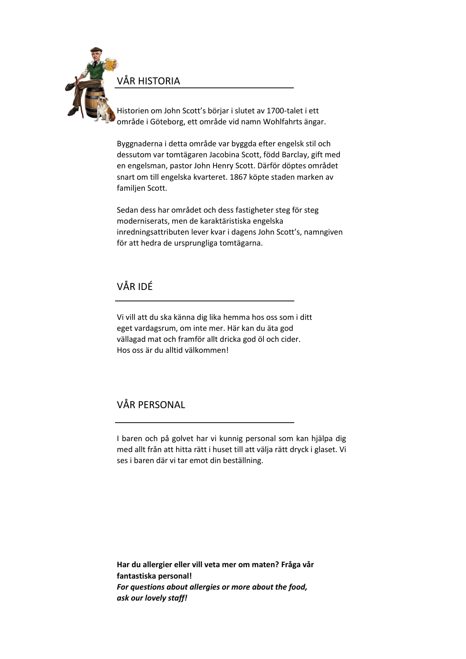

VÅR HISTORIA

Historien om John Scott's börjar i slutet av 1700-talet i ett område i Göteborg, ett område vid namn Wohlfahrts ängar.

Byggnaderna i detta område var byggda efter engelsk stil och dessutom var tomtägaren Jacobina Scott, född Barclay, gift med en engelsman, pastor John Henry Scott. Därför döptes området snart om till engelska kvarteret. 1867 köpte staden marken av familjen Scott.

Sedan dess har området och dess fastigheter steg för steg moderniserats, men de karaktäristiska engelska inredningsattributen lever kvar i dagens John Scott's, namngiven för att hedra de ursprungliga tomtägarna.

# VÅR IDÉ

Vi vill att du ska känna dig lika hemma hos oss som i ditt eget vardagsrum, om inte mer. Här kan du äta god vällagad mat och framför allt dricka god öl och cider. Hos oss är du alltid välkommen!

# VÅR PERSONAL

I baren och på golvet har vi kunnig personal som kan hjälpa dig med allt från att hitta rätt i huset till att välja rätt dryck i glaset. Vi ses i baren där vi tar emot din beställning.

**Har du allergier eller vill veta mer om maten? Fråga vår fantastiska personal!** *For questions about allergies or more about the food, ask our lovely staff!*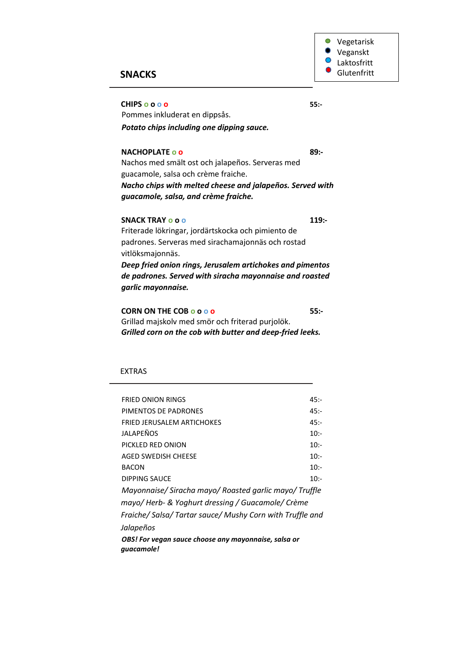Vegetarisk  $\bullet$  $\bullet$ Veganskt  $\bigcirc$ Laktosfritt Glutenfritt

# **SNACKS**

**CHIPS o o o o 55:-**

Pommes inkluderat en dippsås. *Potato chips including one dipping sauce.*

### **NACHOPLATE o o 89:-**

Nachos med smält ost och jalapeños. Serveras med guacamole, salsa och crème fraiche. *Nacho chips with melted cheese and jalapeños. Served with guacamole, salsa, and crème fraiche.* 

### **SNACK TRAY o o o 119:-**

Friterade lökringar, jordärtskocka och pimiento de padrones. Serveras med sirachamajonnäs och rostad vitlöksmajonnäs. *Deep fried onion rings, Jerusalem artichokes and pimentos de padrones. Served with siracha mayonnaise and roasted* 

*garlic mayonnaise.*

**CORN ON THE COB o o o o 55:-** Grillad majskolv med smör och friterad purjolök. *Grilled corn on the cob with butter and deep-fried leeks.*

#### EXTRAS

| <b>FRIED ONION RINGS</b>                                           | $45: -$ |
|--------------------------------------------------------------------|---------|
| PIMENTOS DE PADRONES                                               | $45: -$ |
| <b>FRIED JERUSALEM ARTICHOKES</b>                                  | $45: -$ |
| JALAPEÑOS                                                          | $10:-$  |
| PICKLED RED ONION                                                  | $10:-$  |
| AGED SWEDISH CHEESE                                                | $10:-$  |
| <b>BACON</b>                                                       | $10:-$  |
| DIPPING SAUCE                                                      | $10:-$  |
| Mayonnaise/Siracha mayo/Roasted garlic mayo/Truffle                |         |
| mayo/Herb- & Yoghurt dressing / Guacamole/Crème                    |         |
| Fraiche/Salsa/Tartar sauce/Mushy Corn with Truffle and             |         |
| Jalapeños                                                          |         |
| OBS! For vegan sauce choose any mayonnaise, salsa or<br>quacamole! |         |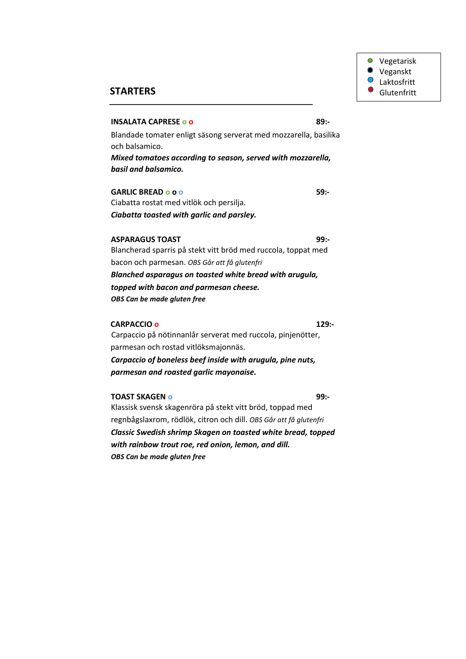

## **STARTERS**

#### **INSALATA CAPRESE o o 89:-**

Blandade tomater enligt säsong serverat med mozzarella, basilika och balsamico.

*Mixed tomatoes according to season, served with mozzarella, basil and balsamico.*

**GARLIC BREAD o o o** 59:-Ciabatta rostat med vitlök och persilja.

*Ciabatta toasted with garlic and parsley.*

## **ASPARAGUS TOAST 99:-**

Blancherad sparris på stekt vitt bröd med ruccola, toppat med bacon och parmesan. *OBS Går att få glutenfri Blanched asparagus on toasted white bread with arugula, topped with bacon and parmesan cheese. OBS Can be made gluten free*

#### **CARPACCIO o 129:-**

Carpaccio på nötinnanlår serverat med ruccola, pinjenötter, parmesan och rostad vitlöksmajonnäs. *Carpaccio of boneless beef inside with arugula, pine nuts, parmesan and roasted garlic mayonaise.*

#### **TOAST SKAGEN O** 99:-

Klassisk svensk skagenröra på stekt vitt bröd, toppad med regnbågslaxrom, rödlök, citron och dill. *OBS Går att få glutenfri Classic Swedish shrimp Skagen on toasted white bread, topped with rainbow trout roe, red onion, lemon, and dill. OBS Can be made gluten free*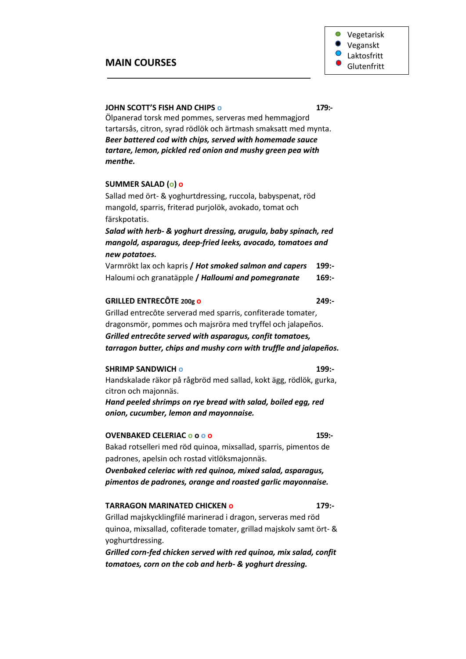## **MAIN COURSES**

### **JOHN SCOTT'S FISH AND CHIPS o 179:-**

Ölpanerad torsk med pommes, serveras med hemmagjord tartarsås, citron, syrad rödlök och ärtmash smaksatt med mynta. *Beer battered cod with chips, served with homemade sauce tartare, lemon, pickled red onion and mushy green pea with menthe.* 

#### **SUMMER SALAD (o) o**

Sallad med ört- & yoghurtdressing, ruccola, babyspenat, röd mangold, sparris, friterad purjolök, avokado, tomat och färskpotatis.

*Salad with herb- & yoghurt dressing, arugula, baby spinach, red mangold, asparagus, deep-fried leeks, avocado, tomatoes and new potatoes.*

Varmrökt lax och kapris **/** *Hot smoked salmon and capers* **199:-** Haloumi och granatäpple **/** *Halloumi and pomegranate* **169:-**

#### **GRILLED ENTRECÔTE 200g o 249:-**

Grillad entrecôte serverad med sparris, confiterade tomater, dragonsmör, pommes och majsröra med tryffel och jalapeños. *Grilled entrecôte served with asparagus, confit tomatoes, tarragon butter, chips and mushy corn with truffle and jalapeños.*

#### **SHRIMP SANDWICH o 199:-**

Handskalade räkor på rågbröd med sallad, kokt ägg, rödlök, gurka, citron och majonnäs.

*Hand peeled shrimps on rye bread with salad, boiled egg, red onion, cucumber, lemon and mayonnaise.*

## **OVENBAKED CELERIAC o o o o 159:-**

Bakad rotselleri med röd quinoa, mixsallad, sparris, pimentos de padrones, apelsin och rostad vitlöksmajonnäs.

*Ovenbaked celeriac with red quinoa, mixed salad, asparagus, pimentos de padrones, orange and roasted garlic mayonnaise.*

### **TARRAGON MARINATED CHICKEN o 179:-**

Grillad majskycklingfilé marinerad i dragon, serveras med röd quinoa, mixsallad, cofiterade tomater, grillad majskolv samt ört- & yoghurtdressing.

*Grilled corn-fed chicken served with red quinoa, mix salad, confit tomatoes, corn on the cob and herb- & yoghurt dressing.*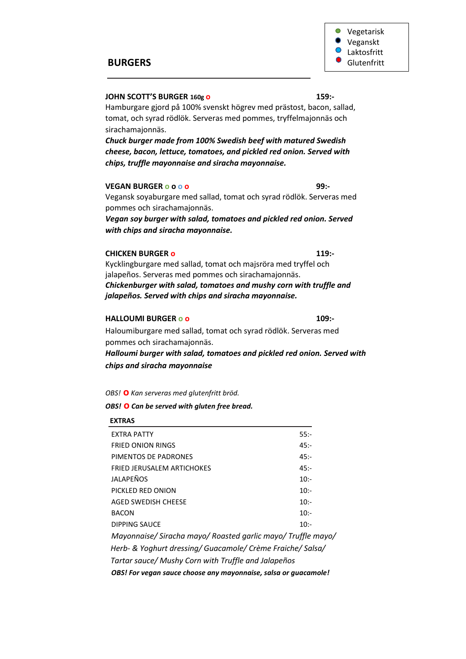

### **JOHN SCOTT'S BURGER 160g o 159:-**

Hamburgare gjord på 100% svenskt högrev med prästost, bacon, sallad, tomat, och syrad rödlök. Serveras med pommes, tryffelmajonnäs och sirachamajonnäs.

*Chuck burger made from 100% Swedish beef with matured Swedish cheese, bacon, lettuce, tomatoes, and pickled red onion. Served with chips, truffle mayonnaise and siracha mayonnaise.*

#### **VEGAN BURGER o o o o 99:-**

Vegansk soyaburgare med sallad, tomat och syrad rödlök. Serveras med pommes och sirachamajonnäs.

*Vegan soy burger with salad, tomatoes and pickled red onion. Served with chips and siracha mayonnaise.*

### **CHICKEN BURGER o 119:-**

Kycklingburgare med sallad, tomat och majsröra med tryffel och jalapeños. Serveras med pommes och sirachamajonnäs. *Chickenburger with salad, tomatoes and mushy corn with truffle and jalapeños. Served with chips and siracha mayonnaise.*

#### **HALLOUMI BURGER o o 109:-**

Haloumiburgare med sallad, tomat och syrad rödlök. Serveras med pommes och sirachamajonnäs.

*Halloumi burger with salad, tomatoes and pickled red onion. Served with chips and siracha mayonnaise*

*OBS!* **o** *Kan serveras med glutenfritt bröd.*

*OBS!* **o** *Can be served with gluten free bread.*

# **EXTRAS**

| <b>EXTRA PATTY</b>                                              | 55:     |  |
|-----------------------------------------------------------------|---------|--|
| <b>FRIED ONION RINGS</b>                                        | $45: -$ |  |
| PIMENTOS DE PADRONES                                            | $45: -$ |  |
| <b>FRIED JERUSALEM ARTICHOKES</b>                               | $45: -$ |  |
| JALAPEÑOS                                                       | $10: -$ |  |
| PICKLED RED ONION                                               | $10:-$  |  |
| <b>AGED SWEDISH CHEESE</b>                                      | $10:-$  |  |
| <b>BACON</b>                                                    | $10:-$  |  |
| DIPPING SAUCE                                                   | $10:-$  |  |
| Mayonnaise/ Siracha mayo/ Roasted garlic mayo/ Truffle mayo/    |         |  |
| Herb- & Yoghurt dressing/ Guacamole/ Crème Fraiche/ Salsa/      |         |  |
| Tartar sauce/ Mushy Corn with Truffle and Jalapeños             |         |  |
| OBS! For vegan sauce choose any mayonnaise, salsa or guacamole! |         |  |